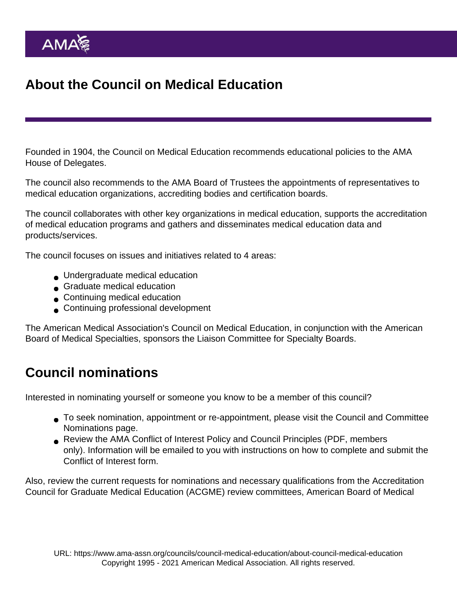## About the Council on Medical Education

Founded in 1904, the [Council on Medical Education](https://www.ama-assn.org/councils/council-medical-education/members-council-medical-education) recommends educational policies to the AMA House of Delegates.

The council also recommends to the AMA Board of Trustees the appointments of representatives to medical education organizations, accrediting bodies and certification boards.

The council collaborates with other key organizations in medical education, supports the accreditation of medical education programs and gathers and disseminates medical education data and products/services.

The council focuses on issues and initiatives related to 4 areas:

- Undergraduate medical education
- Graduate medical education
- **Continuing medical education**
- Continuing professional development

The American Medical Association's Council on Medical Education, in conjunction with the American Board of Medical Specialties, sponsors the [Liaison Committee for Specialty Boards](https://www.ama-assn.org/councils/council-medical-education/council-medical-education-liaison-committee-specialty-boards).

## Council nominations

Interested in nominating yourself or someone you know to be a member of this council?

- To seek nomination, appointment or re-appointment, please visit the [Council and Committee](https://www.ama-assn.org/house-delegates/ama-elections/council-committee-nominations) [Nominations page.](https://www.ama-assn.org/house-delegates/ama-elections/council-committee-nominations)
- Review the [AMA Conflict of Interest Policy](https://www.ama-assn.org/about/leadership/ama-conflict-interest-policy) and [Council Principles](https://www.ama-assn.org/system/files/corp/media-browser/council-conflict-of-interest-principles.pdf) (PDF, members only). Information will be emailed to you with instructions on how to complete and submit the Conflict of Interest form.

Also, review the [current requests for nominations](https://www.ama-assn.org/councils/council-medical-education/medical-education-leadership-opportunities) and necessary qualifications from the Accreditation Council for Graduate Medical Education (ACGME) review committees, American Board of Medical